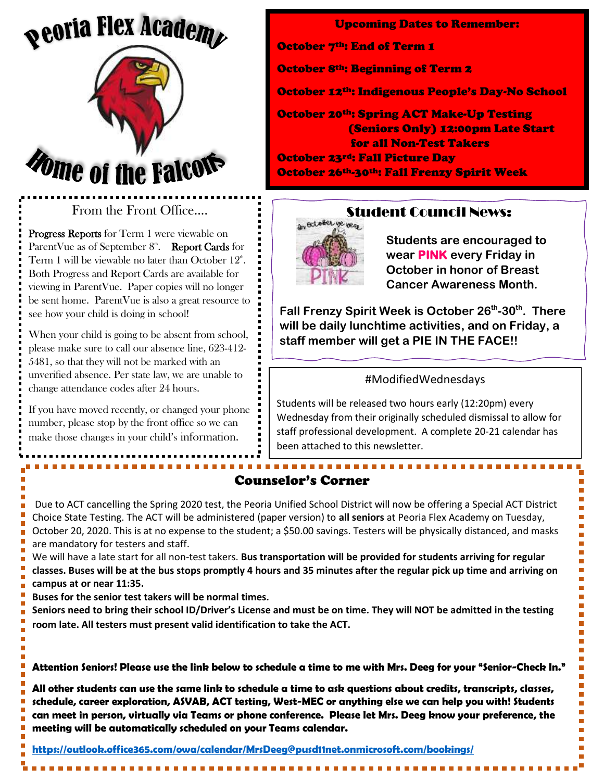# *<u><b>peoria Flex Academ*</u>



### From the Front Office….

Progress Reports for Term 1 were viewable on ParentVue as of September  $8^{\text{th}}$ . Report Cards for Term 1 will be viewable no later than October  $12^{\text{th}}$ . Both Progress and Report Cards are available for viewing in ParentVue. Paper copies will no longer be sent home. ParentVue is also a great resource to see how your child is doing in school!

When your child is going to be absent from school, please make sure to call our absence line, 623-412- 5481, so that they will not be marked with an unverified absence. Per state law, we are unable to change attendance codes after 24 hours.

If you have moved recently, or changed your phone number, please stop by the front office so we can make those changes in your child's information.

Upcoming Dates to Remember: October 7<sup>th</sup>: End of Term 1 October 8th: Beginning of Term 2 October 12th: Indigenous People's Day-No School October 20th: Spring ACT Make-Up Testing (Seniors Only) 12:00pm Late Start for all Non-Test Takers October 23rd: Fall Picture Day October 26th-30th: Fall Frenzy Spirit Week



### Student Council News:

**Students are encouraged to wear PINK every Friday in October in honor of Breast Cancer Awareness Month.**

**Fall Frenzy Spirit Week is October 26th -30th. There will be daily lunchtime activities, and on Friday, a staff member will get a PIE IN THE FACE!!**

### #ModifiedWednesdays

Students will be released two hours early (12:20pm) every Wednesday from their originally scheduled dismissal to allow for staff professional development. A complete 20-21 calendar has been attached to this newsletter.

## Counselor's Corner

Due to ACT cancelling the Spring 2020 test, the Peoria Unified School District will now be offering a Special ACT District Choice State Testing. The ACT will be administered (paper version) to **all seniors** at Peoria Flex Academy on Tuesday, October 20, 2020. This is at no expense to the student; a \$50.00 savings. Testers will be physically distanced, and masks are mandatory for testers and staff.

We will have a late start for all non-test takers. **Bus transportation will be provided for students arriving for regular classes. Buses will be at the bus stops promptly 4 hours and 35 minutes after the regular pick up time and arriving on campus at or near 11:35.** 

**Buses for the senior test takers will be normal times.** 

**Seniors need to bring their school ID/Driver's License and must be on time. They will NOT be admitted in the testing room late. All testers must present valid identification to take the ACT.**

**Attention Seniors! Please use the link below to schedule a time to me with Mrs. Deeg for your "Senior-Check In."**

**All other students can use the same link to schedule a time to ask questions about credits, transcripts, classes, schedule, career exploration, ASVAB, ACT testing, West-MEC or anything else we can help you with! Students can meet in person, virtually via Teams or phone conference. Please let Mrs. Deeg know your preference, the meeting will be automatically scheduled on your Teams calendar.**

**<https://outlook.office365.com/owa/calendar/MrsDeeg@pusd11net.onmicrosoft.com/bookings/>**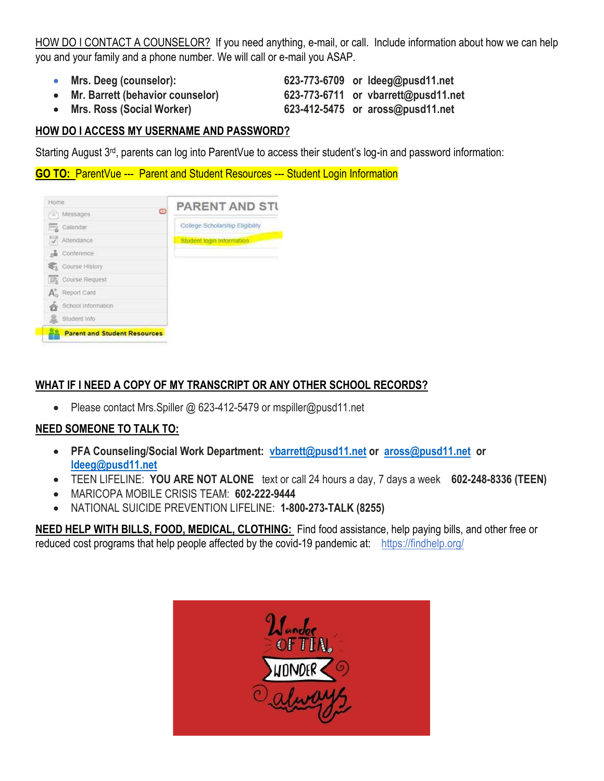HOW DO I CONTACT A COUNSELOR? If you need anything, e-mail, or call. Include information about how we can help you and your family and a phone number. We will call or e-mail you ASAP.

- 
- 

• **Mrs. Deeg (counselor): 623-773-6709 or ldeeg@pusd11.net** • **Mr. Barrett (behavior counselor) 623-773-6711 or vbarrett@pusd11.net** • **Mrs. Ross (Social Worker) 623-412-5475 or aross@pusd11.net**

### **HOW DO I ACCESS MY USERNAME AND PASSWORD?**

Starting August 3<sup>rd</sup>, parents can log into ParentVue to access their student's log-in and password information:

**GO TO:** ParentVue --- Parent and Student Resources --- Student Login Information

| <b>Parent and Student Resources</b> |                                 |
|-------------------------------------|---------------------------------|
| Student Info                        |                                 |
| School Information                  |                                 |
| A. Report Card                      |                                 |
| <b>ER</b> Course Request            |                                 |
| Course History                      |                                 |
| <b>&amp;</b> Conference             |                                 |
| V<br>Attendance                     | Student login Information       |
| Calendar                            | College Scholarship Eligibility |
| œ<br>Messages<br>w                  |                                 |
| Home.                               | <b>PARENT AND STI</b>           |

### **WHAT IF I NEED A COPY OF MY TRANSCRIPT OR ANY OTHER SCHOOL RECORDS?**

• Please contact Mrs. Spiller @ 623-412-5479 or mspiller@pusd11.net

### **NEED SOMEONE TO TALK TO:**

- **PFA Counseling/Social Work Department: [vbarrett@pusd11.net](mailto:vbarrett@pusd11.net) or [aross@pusd11.net](mailto:aross@pusd11.net) or [ldeeg@pusd11.net](mailto:ldeeg@pusd11.net)**
- TEEN LIFELINE: **YOU ARE NOT ALONE** text or call 24 hours a day, 7 days a week **602-248-8336 (TEEN)**
- MARICOPA MOBILE CRISIS TEAM: **602-222-9444**
- NATIONAL SUICIDE PREVENTION LIFELINE: **1-800-273-TALK (8255)**

**NEED HELP WITH BILLS, FOOD, MEDICAL, CLOTHING:** Find food assistance, help paying bills, and other free or reduced cost programs that help people affected by the covid-19 pandemic at:<https://findhelp.org/>

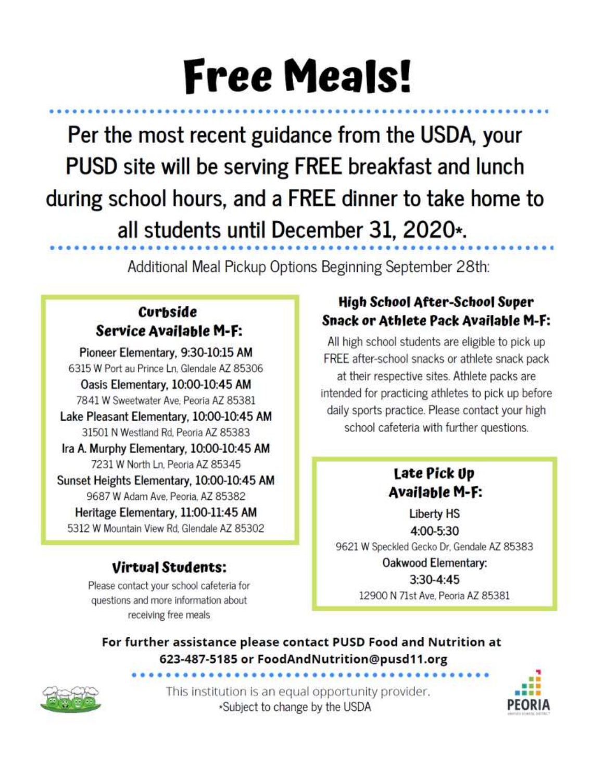# **Free Meals!**

Per the most recent guidance from the USDA, your PUSD site will be serving FREE breakfast and lunch during school hours, and a FREE dinner to take home to all students until December 31, 2020\*.

Additional Meal Pickup Options Beginning September 28th:

# **Curbside Service Available M-F:**

Pioneer Elementary, 9:30-10:15 AM 6315 W Port au Prince Ln, Glendale AZ 85306 Oasis Elementary, 10:00-10:45 AM 7841 W Sweetwater Ave, Peoria AZ 85381

Lake Pleasant Elementary, 10:00-10:45 AM 31501 N Westland Rd, Peoria AZ 85383

Ira A. Murphy Elementary, 10:00-10:45 AM 7231 W North Ln, Peoria AZ 85345

Sunset Heights Elementary, 10:00-10:45 AM 9687 W Adam Ave, Peoria, AZ 85382 Heritage Elementary, 11:00-11:45 AM 5312 W Mountain View Rd. Glendale AZ 85302

# **Virtual Students:**

Please contact your school cafeteria for questions and more information about receiving free meals

# High School After-School Super Snack or Athlete Pack Available M-F:

All high school students are eligible to pick up FREE after-school snacks or athlete snack pack at their respective sites. Athlete packs are intended for practicing athletes to pick up before daily sports practice. Please contact your high school cafeteria with further questions.

# Late Pick Up Available M-F:

**Liberty HS** 4:00-5:30 9621 W Speckled Gecko Dr, Gendale AZ 85383 Oakwood Elementary:  $3:30-4:45$ 

12900 N 71st Ave, Peoria AZ 85381

For further assistance please contact PUSD Food and Nutrition at 623-487-5185 or FoodAndNutrition@pusd11.org



This institution is an equal opportunity provider. \*Subject to change by the USDA

...................

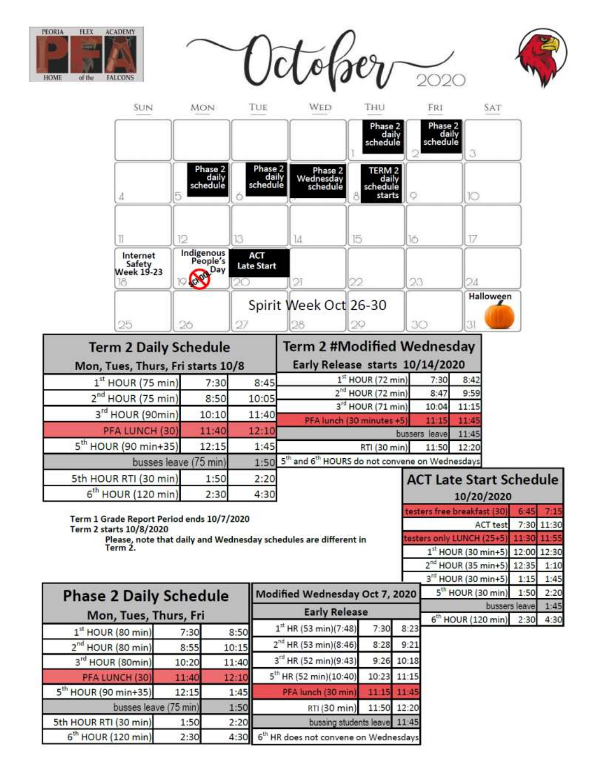







| <b>Term 2 Daily Schedule</b><br>Mon, Tues, Thurs, Fri starts 10/8 |       |       | <b>Term 2 #Modified Wednesday</b><br>Early Release starts 10/14/2020 |               |          |
|-------------------------------------------------------------------|-------|-------|----------------------------------------------------------------------|---------------|----------|
| $1st$ HOUR (75 min)                                               | 7:30  | 8:45  | $1st$ HOUR (72 min)                                                  | 7:30          | 8:42     |
| 2 <sup>nd</sup> HOUR (75 min)                                     | 8:50  | 10:05 | $2nd$ HOUR (72 min)                                                  | 8:47          | 9:59     |
|                                                                   |       |       | 3rd HOUR (71 min)                                                    | 10:04         | 11:15    |
| 3rd HOUR (90min)                                                  | 10:10 | 11:40 | PFA lunch (30 minutes +5)                                            | 11:15         |          |
| PFA LUNCH (30)                                                    | 11:40 | 12:10 |                                                                      | bussers leave | 11:45    |
| $5th$ HOUR (90 min+35)                                            | 12:15 | 1:45  | RTI (30 min)                                                         | 11:50         | 12:20    |
| busses leave (75 min)                                             |       |       | 1:50 5th and 6 <sup>th</sup> HOURS do not convene on Wednesdays      |               |          |
| 5th HOUR RTI (30 min)                                             | 1:50  | 2:20  |                                                                      |               | Late Sta |

 $4:30$ 

Term 1 Grade Report Period ends 10/7/2020 Term 2 starts 10/8/2020 Please, note that daily and Wednesday schedules are different in<br>Term 2.

 $2:30$ 

6<sup>th</sup> HOUR (120 min)

|      | <b>ACT Late Start Schedule</b><br>10/20/2020 |               |       |
|------|----------------------------------------------|---------------|-------|
|      | esters free breakfast (30)                   |               |       |
|      | ACT test 7:30 11:30                          |               |       |
|      | s only LUNCH (25+5)                          | 1130          |       |
|      | $1st$ HOUR (30 min+5)                        | 12:00         | 12:30 |
|      | HOUR (35 min+5)                              | 12:35         |       |
|      | 3 <sup>rd</sup><br>HOUR (30 min+5)           | 1:15          |       |
| 2020 | 5 <sup>th</sup> HOUR (30 min)                | 1:50          | 2:20  |
|      |                                              | bussers leave |       |
|      | <b>HOUR (120 min)</b>                        |               |       |

| <b>Phase 2 Daily Schedule</b>    |       |       | Modified Wednesday Oct 7, 2020             |      |              | 5 <sup>th</sup> HOUR (30 min)           | $1:50$ 2:2     |     |
|----------------------------------|-------|-------|--------------------------------------------|------|--------------|-----------------------------------------|----------------|-----|
|                                  |       |       | <b>Early Release</b>                       |      |              |                                         | bussers leavel | 1:4 |
| Mon, Tues, Thurs, Fri            |       |       |                                            |      |              | 6 <sup>th</sup> HOUR (120 min) 2:30 4:3 |                |     |
| $1st$ HOUR (80 min)              | 7:30  | 8:50  | $1^{st}$ HR (53 min)(7:48)                 | 7:30 | 8:23         |                                         |                |     |
| 2 <sup>nd</sup> HOUR (80 min)    | 8:55  | 10:15 | $2^{nd}$ HR (53 min)(8:46)                 | 8:28 | 9:21         |                                         |                |     |
| 3 <sup>rd</sup> HOUR (80min)     | 10:20 | 11:40 | 3 <sup>rd</sup> HR (52 min)(9:43)          |      | $9:26$ 10:18 |                                         |                |     |
| PFA LUNCH (30)                   | 11:40 | 12:10 | $5th$ HR (52 min)(10:40)                   |      | 10:23 11:15  |                                         |                |     |
| 5 <sup>th</sup> HOUR (90 min+35) | 12:15 | 1:45  | PFA lunch (30 min)                         |      | 11:15 11:45  |                                         |                |     |
| busses leave (75 min)            |       | 1:50  | RTI (30 min)                               |      | 11:50 12:20  |                                         |                |     |
| 5th HOUR RTI (30 min)            | 1:50  | 2:20  | bussing students leave 11:45               |      |              |                                         |                |     |
| $6th$ HOUR (120 min)             | 2:30  |       | 4:30 6th HR does not convene on Wednesdays |      |              |                                         |                |     |